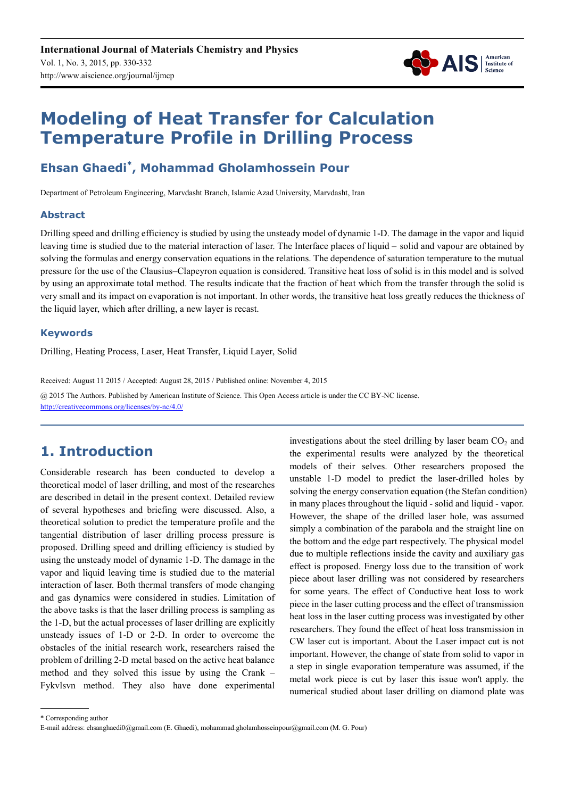

# **Modeling of Heat Transfer for Calculation Temperature Profile in Drilling Process**

# **Ehsan Ghaedi\* , Mohammad Gholamhossein Pour**

Department of Petroleum Engineering, Marvdasht Branch, Islamic Azad University, Marvdasht, Iran

### **Abstract**

Drilling speed and drilling efficiency is studied by using the unsteady model of dynamic 1-D. The damage in the vapor and liquid leaving time is studied due to the material interaction of laser. The Interface places of liquid – solid and vapour are obtained by solving the formulas and energy conservation equations in the relations. The dependence of saturation temperature to the mutual pressure for the use of the Clausius–Clapeyron equation is considered. Transitive heat loss of solid is in this model and is solved by using an approximate total method. The results indicate that the fraction of heat which from the transfer through the solid is very small and its impact on evaporation is not important. In other words, the transitive heat loss greatly reduces the thickness of the liquid layer, which after drilling, a new layer is recast.

#### **Keywords**

Drilling, Heating Process, Laser, Heat Transfer, Liquid Layer, Solid

Received: August 11 2015 / Accepted: August 28, 2015 / Published online: November 4, 2015 @ 2015 The Authors. Published by American Institute of Science. This Open Access article is under the CC BY-NC license. http://creativecommons.org/licenses/by-nc/4.0/

# **1. Introduction**

Considerable research has been conducted to develop a theoretical model of laser drilling, and most of the researches are described in detail in the present context. Detailed review of several hypotheses and briefing were discussed. Also, a theoretical solution to predict the temperature profile and the tangential distribution of laser drilling process pressure is proposed. Drilling speed and drilling efficiency is studied by using the unsteady model of dynamic 1-D. The damage in the vapor and liquid leaving time is studied due to the material interaction of laser. Both thermal transfers of mode changing and gas dynamics were considered in studies. Limitation of the above tasks is that the laser drilling process is sampling as the 1-D, but the actual processes of laser drilling are explicitly unsteady issues of 1-D or 2-D. In order to overcome the obstacles of the initial research work, researchers raised the problem of drilling 2-D metal based on the active heat balance method and they solved this issue by using the Crank – Fykvlsvn method. They also have done experimental investigations about the steel drilling by laser beam  $CO<sub>2</sub>$  and the experimental results were analyzed by the theoretical models of their selves. Other researchers proposed the unstable 1-D model to predict the laser-drilled holes by solving the energy conservation equation (the Stefan condition) in many places throughout the liquid - solid and liquid - vapor. However, the shape of the drilled laser hole, was assumed simply a combination of the parabola and the straight line on the bottom and the edge part respectively. The physical model due to multiple reflections inside the cavity and auxiliary gas effect is proposed. Energy loss due to the transition of work piece about laser drilling was not considered by researchers for some years. The effect of Conductive heat loss to work piece in the laser cutting process and the effect of transmission heat loss in the laser cutting process was investigated by other researchers. They found the effect of heat loss transmission in CW laser cut is important. About the Laser impact cut is not important. However, the change of state from solid to vapor in a step in single evaporation temperature was assumed, if the metal work piece is cut by laser this issue won't apply. the numerical studied about laser drilling on diamond plate was

<sup>\*</sup> Corresponding author

E-mail address: ehsanghaedi0@gmail.com (E. Ghaedi), mohammad.gholamhosseinpour@gmail.com (M. G. Pour)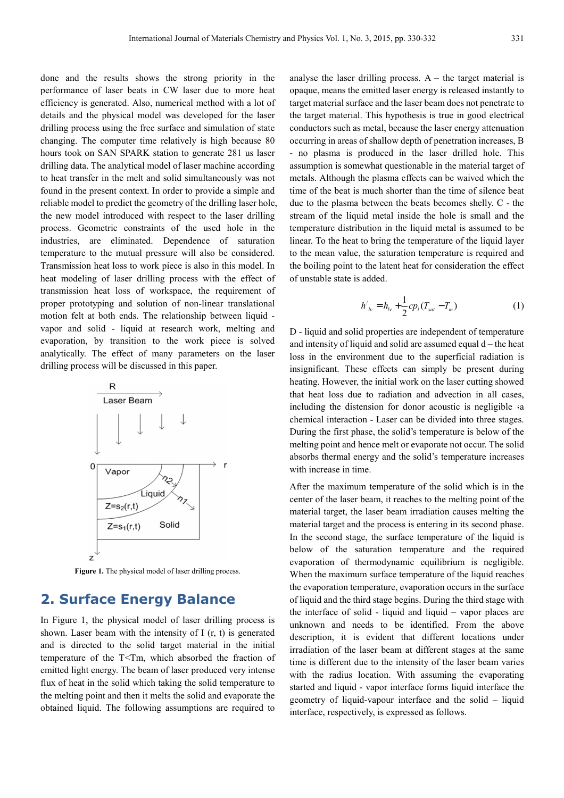done and the results shows the strong priority in the performance of laser beats in CW laser due to more heat efficiency is generated. Also, numerical method with a lot of details and the physical model was developed for the laser drilling process using the free surface and simulation of state changing. The computer time relatively is high because 80 hours took on SAN SPARK station to generate 281 us laser drilling data. The analytical model of laser machine according to heat transfer in the melt and solid simultaneously was not found in the present context. In order to provide a simple and reliable model to predict the geometry of the drilling laser hole, the new model introduced with respect to the laser drilling process. Geometric constraints of the used hole in the industries, are eliminated. Dependence of saturation temperature to the mutual pressure will also be considered. Transmission heat loss to work piece is also in this model. In heat modeling of laser drilling process with the effect of transmission heat loss of workspace, the requirement of proper prototyping and solution of non-linear translational motion felt at both ends. The relationship between liquid vapor and solid - liquid at research work, melting and evaporation, by transition to the work piece is solved analytically. The effect of many parameters on the laser drilling process will be discussed in this paper.



Figure 1. The physical model of laser drilling process.

# **2. Surface Energy Balance**

In Figure 1, the physical model of laser drilling process is shown. Laser beam with the intensity of I (r, t) is generated and is directed to the solid target material in the initial temperature of the T<Tm, which absorbed the fraction of emitted light energy. The beam of laser produced very intense flux of heat in the solid which taking the solid temperature to the melting point and then it melts the solid and evaporate the obtained liquid. The following assumptions are required to

analyse the laser drilling process.  $A -$  the target material is opaque, means the emitted laser energy is released instantly to target material surface and the laser beam does not penetrate to the target material. This hypothesis is true in good electrical conductors such as metal, because the laser energy attenuation occurring in areas of shallow depth of penetration increases, B - no plasma is produced in the laser drilled hole. This assumption is somewhat questionable in the material target of metals. Although the plasma effects can be waived which the time of the beat is much shorter than the time of silence beat due to the plasma between the beats becomes shelly. C - the stream of the liquid metal inside the hole is small and the temperature distribution in the liquid metal is assumed to be linear. To the heat to bring the temperature of the liquid layer to the mean value, the saturation temperature is required and the boiling point to the latent heat for consideration the effect of unstable state is added.

$$
h'_{b'} = h_{b'} + \frac{1}{2} c p_l (T_{sat} - T_m)
$$
 (1)

D - liquid and solid properties are independent of temperature and intensity of liquid and solid are assumed equal  $d$  – the heat loss in the environment due to the superficial radiation is insignificant. These effects can simply be present during heating. However, the initial work on the laser cutting showed that heat loss due to radiation and advection in all cases, including the distension for donor acoustic is negligible  $\cdot$ a chemical interaction - Laser can be divided into three stages. During the first phase, the solid's temperature is below of the melting point and hence melt or evaporate not occur. The solid absorbs thermal energy and the solid's temperature increases with increase in time.

After the maximum temperature of the solid which is in the center of the laser beam, it reaches to the melting point of the material target, the laser beam irradiation causes melting the material target and the process is entering in its second phase. In the second stage, the surface temperature of the liquid is below of the saturation temperature and the required evaporation of thermodynamic equilibrium is negligible. When the maximum surface temperature of the liquid reaches the evaporation temperature, evaporation occurs in the surface of liquid and the third stage begins. During the third stage with the interface of solid - liquid and liquid – vapor places are unknown and needs to be identified. From the above description, it is evident that different locations under irradiation of the laser beam at different stages at the same time is different due to the intensity of the laser beam varies with the radius location. With assuming the evaporating started and liquid - vapor interface forms liquid interface the geometry of liquid-vapour interface and the solid – liquid interface, respectively, is expressed as follows.